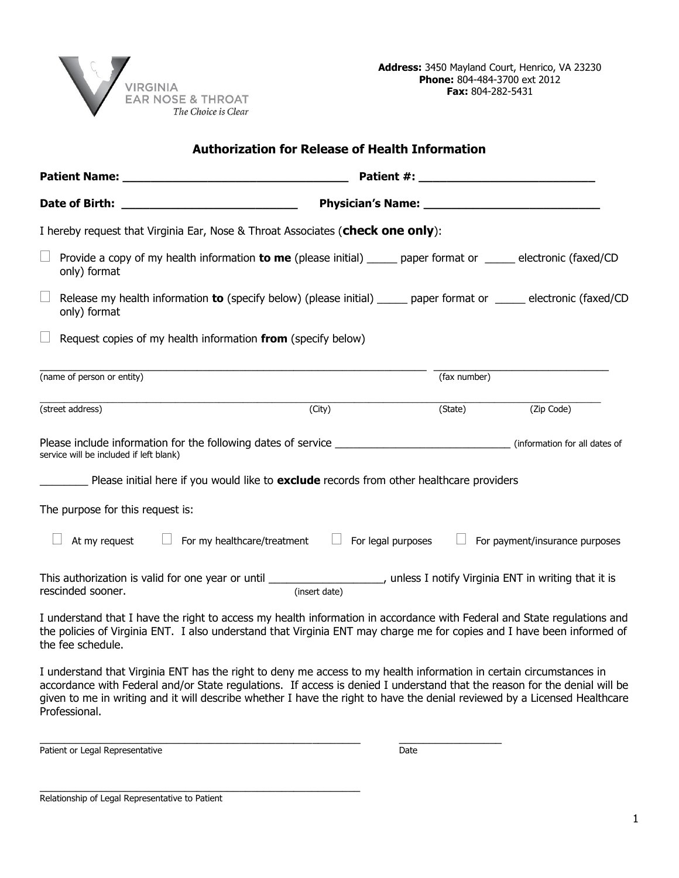

| <b>Authorization for Release of Health Information</b>                                                                                                                                                                                                                 |                                                          |              |                                       |
|------------------------------------------------------------------------------------------------------------------------------------------------------------------------------------------------------------------------------------------------------------------------|----------------------------------------------------------|--------------|---------------------------------------|
|                                                                                                                                                                                                                                                                        |                                                          |              |                                       |
|                                                                                                                                                                                                                                                                        |                                                          |              |                                       |
| I hereby request that Virginia Ear, Nose & Throat Associates (check one only):                                                                                                                                                                                         |                                                          |              |                                       |
| $\Box$<br>Provide a copy of my health information to me (please initial) _____ paper format or _____ electronic (faxed/CD<br>only) format                                                                                                                              |                                                          |              |                                       |
| $\Box$<br>Release my health information to (specify below) (please initial) _____ paper format or _____ electronic (faxed/CD<br>only) format                                                                                                                           |                                                          |              |                                       |
| $\Box$<br>Request copies of my health information from (specify below)                                                                                                                                                                                                 |                                                          |              |                                       |
| (name of person or entity)                                                                                                                                                                                                                                             |                                                          | (fax number) |                                       |
| (street address)                                                                                                                                                                                                                                                       | (City)                                                   | (State)      | (Zip Code)                            |
| service will be included if left blank)                                                                                                                                                                                                                                |                                                          |              |                                       |
| Please initial here if you would like to exclude records from other healthcare providers                                                                                                                                                                               |                                                          |              |                                       |
| The purpose for this request is:                                                                                                                                                                                                                                       |                                                          |              |                                       |
| At my request                                                                                                                                                                                                                                                          | $\Box$ For legal purposes<br>For my healthcare/treatment |              | $\Box$ For payment/insurance purposes |
| This authorization is valid for one year or until _______________________, unless I notify Virginia ENT in writing that it is<br>rescinded sooner.                                                                                                                     | (insert date)                                            |              |                                       |
| I understand that I have the right to access my health information in accordance with Federal and State regulations and<br>the policies of Virginia ENT. I also understand that Virginia ENT may charge me for copies and I have been informed of<br>the fee schedule. |                                                          |              |                                       |

I understand that Virginia ENT has the right to deny me access to my health information in certain circumstances in accordance with Federal and/or State regulations. If access is denied I understand that the reason for the denial will be given to me in writing and it will describe whether I have the right to have the denial reviewed by a Licensed Healthcare Professional.

\_\_\_\_\_\_\_\_\_\_\_\_\_\_\_\_\_\_\_\_\_\_\_\_\_\_\_\_\_\_\_\_\_\_\_\_\_\_\_\_\_\_\_\_\_\_\_\_\_\_\_\_\_ \_\_\_\_\_\_\_\_\_\_\_\_\_\_\_\_\_

Patient or Legal Representative Date Date Date

Relationship of Legal Representative to Patient

\_\_\_\_\_\_\_\_\_\_\_\_\_\_\_\_\_\_\_\_\_\_\_\_\_\_\_\_\_\_\_\_\_\_\_\_\_\_\_\_\_\_\_\_\_\_\_\_\_\_\_\_\_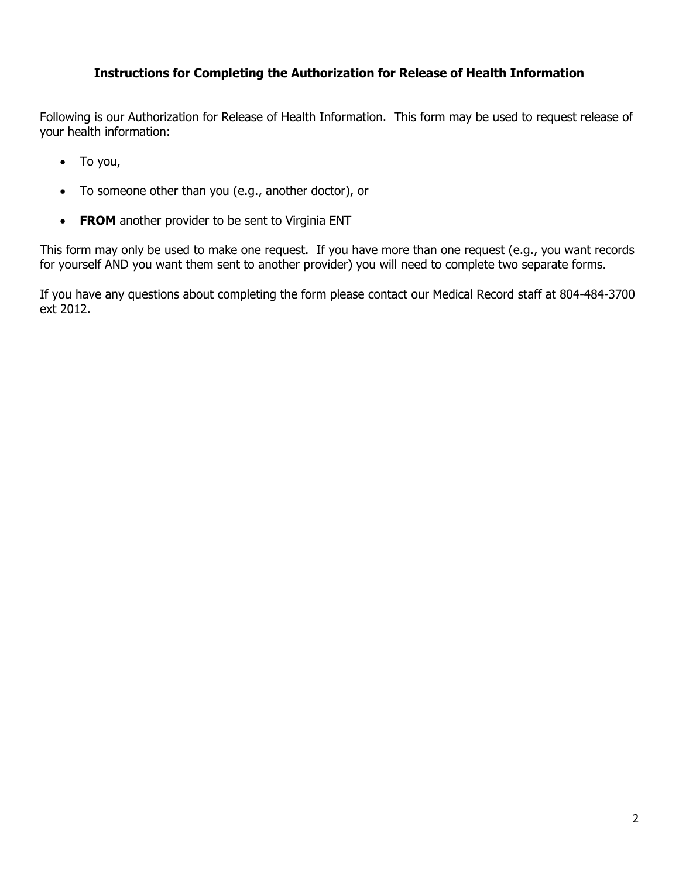## **Instructions for Completing the Authorization for Release of Health Information**

Following is our Authorization for Release of Health Information. This form may be used to request release of your health information:

- To you,
- To someone other than you (e.g., another doctor), or
- **FROM** another provider to be sent to Virginia ENT

This form may only be used to make one request. If you have more than one request (e.g., you want records for yourself AND you want them sent to another provider) you will need to complete two separate forms.

If you have any questions about completing the form please contact our Medical Record staff at 804-484-3700 ext 2012.